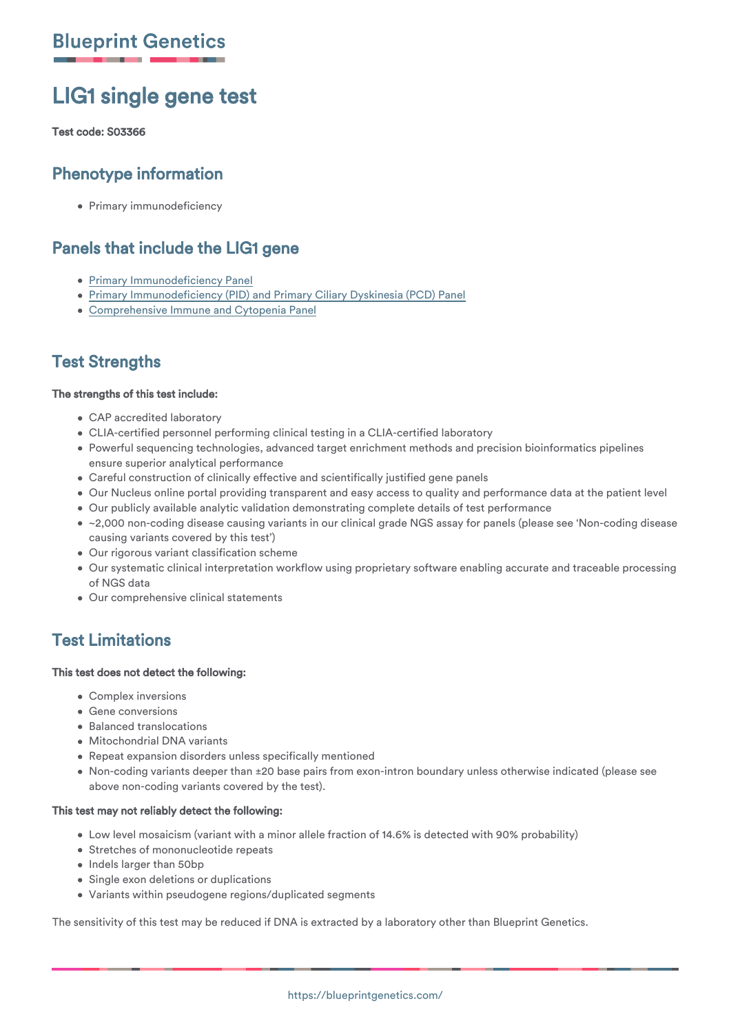# LIG1 single gene test

#### Test code: S03366

## Phenotype information

• Primary immunodeficiency

## Panels that include the LIG1 gene

- [Primary Immunodeficiency Panel](https://blueprintgenetics.com/tests/panels/immunology/primary-immunodeficiency-panel/)
- [Primary Immunodeficiency \(PID\) and Primary Ciliary Dyskinesia \(PCD\) Panel](https://blueprintgenetics.com/tests/panels/immunology/primary-immunodeficiency-pid-and-primary-ciliary-dyskinesia-pcd-panel/)
- [Comprehensive Immune and Cytopenia Panel](https://blueprintgenetics.com/tests/panels/hematology/comprehensive-immune-and-cytopenia-panel/)

## Test Strengths

#### The strengths of this test include:

- CAP accredited laboratory
- CLIA-certified personnel performing clinical testing in a CLIA-certified laboratory
- Powerful sequencing technologies, advanced target enrichment methods and precision bioinformatics pipelines ensure superior analytical performance
- Careful construction of clinically effective and scientifically justified gene panels
- Our Nucleus online portal providing transparent and easy access to quality and performance data at the patient level
- Our publicly available analytic validation demonstrating complete details of test performance
- ~2,000 non-coding disease causing variants in our clinical grade NGS assay for panels (please see 'Non-coding disease causing variants covered by this test')
- Our rigorous variant classification scheme
- Our systematic clinical interpretation workflow using proprietary software enabling accurate and traceable processing of NGS data
- Our comprehensive clinical statements

## Test Limitations

#### This test does not detect the following:

- Complex inversions
- Gene conversions
- Balanced translocations
- Mitochondrial DNA variants
- Repeat expansion disorders unless specifically mentioned
- Non-coding variants deeper than ±20 base pairs from exon-intron boundary unless otherwise indicated (please see above non-coding variants covered by the test).

#### This test may not reliably detect the following:

- Low level mosaicism (variant with a minor allele fraction of 14.6% is detected with 90% probability)
- Stretches of mononucleotide repeats
- Indels larger than 50bp
- **Single exon deletions or duplications**
- Variants within pseudogene regions/duplicated segments

The sensitivity of this test may be reduced if DNA is extracted by a laboratory other than Blueprint Genetics.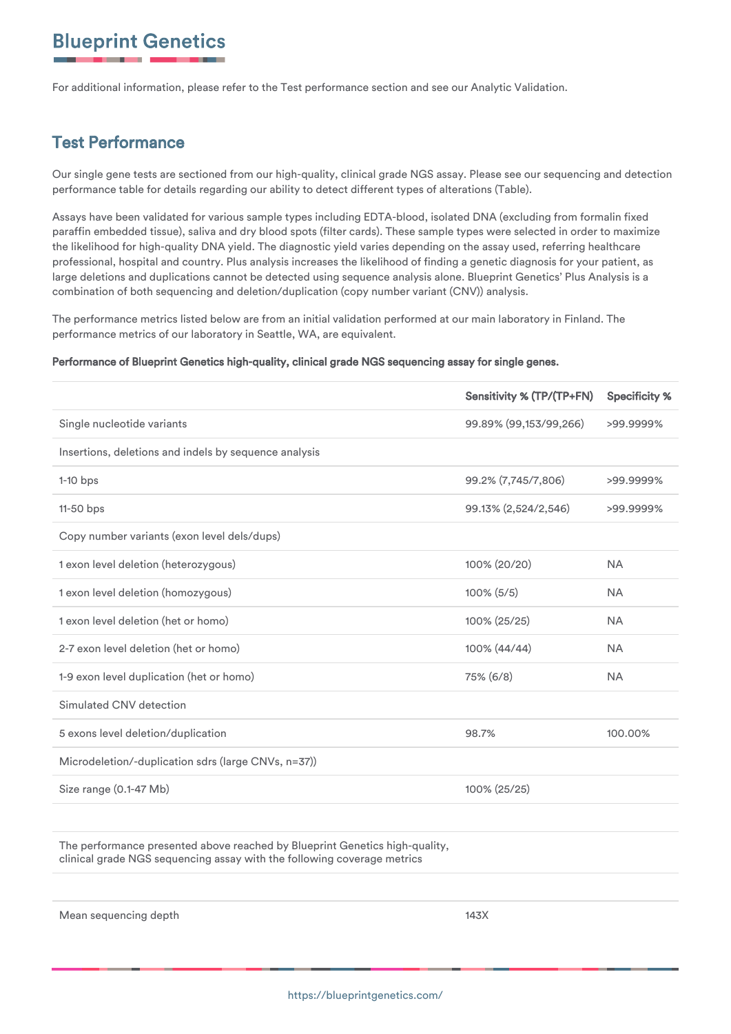For additional information, please refer to the Test performance section and see our Analytic Validation.

## Test Performance

Our single gene tests are sectioned from our high-quality, clinical grade NGS assay. Please see our sequencing and detection performance table for details regarding our ability to detect different types of alterations (Table).

Assays have been validated for various sample types including EDTA-blood, isolated DNA (excluding from formalin fixed paraffin embedded tissue), saliva and dry blood spots (filter cards). These sample types were selected in order to maximize the likelihood for high-quality DNA yield. The diagnostic yield varies depending on the assay used, referring healthcare professional, hospital and country. Plus analysis increases the likelihood of finding a genetic diagnosis for your patient, as large deletions and duplications cannot be detected using sequence analysis alone. Blueprint Genetics' Plus Analysis is a combination of both sequencing and deletion/duplication (copy number variant (CNV)) analysis.

The performance metrics listed below are from an initial validation performed at our main laboratory in Finland. The performance metrics of our laboratory in Seattle, WA, are equivalent.

#### Performance of Blueprint Genetics high-quality, clinical grade NGS sequencing assay for single genes.

|                                                       | Sensitivity % (TP/(TP+FN) | <b>Specificity %</b> |
|-------------------------------------------------------|---------------------------|----------------------|
| Single nucleotide variants                            | 99.89% (99,153/99,266)    | >99.9999%            |
| Insertions, deletions and indels by sequence analysis |                           |                      |
| $1-10$ bps                                            | 99.2% (7,745/7,806)       | >99.9999%            |
| $11-50$ bps                                           | 99.13% (2,524/2,546)      | >99.9999%            |
| Copy number variants (exon level dels/dups)           |                           |                      |
| 1 exon level deletion (heterozygous)                  | 100% (20/20)              | <b>NA</b>            |
| 1 exon level deletion (homozygous)                    | $100\%$ (5/5)             | <b>NA</b>            |
| 1 exon level deletion (het or homo)                   | 100% (25/25)              | <b>NA</b>            |
| 2-7 exon level deletion (het or homo)                 | 100% (44/44)              | <b>NA</b>            |
| 1-9 exon level duplication (het or homo)              | 75% (6/8)                 | <b>NA</b>            |
| Simulated CNV detection                               |                           |                      |
| 5 exons level deletion/duplication                    | 98.7%                     | 100.00%              |
| Microdeletion/-duplication sdrs (large CNVs, n=37))   |                           |                      |
| Size range (0.1-47 Mb)                                | 100% (25/25)              |                      |
|                                                       |                           |                      |

The performance presented above reached by Blueprint Genetics high-quality, clinical grade NGS sequencing assay with the following coverage metrics

Mean sequencing depth 143X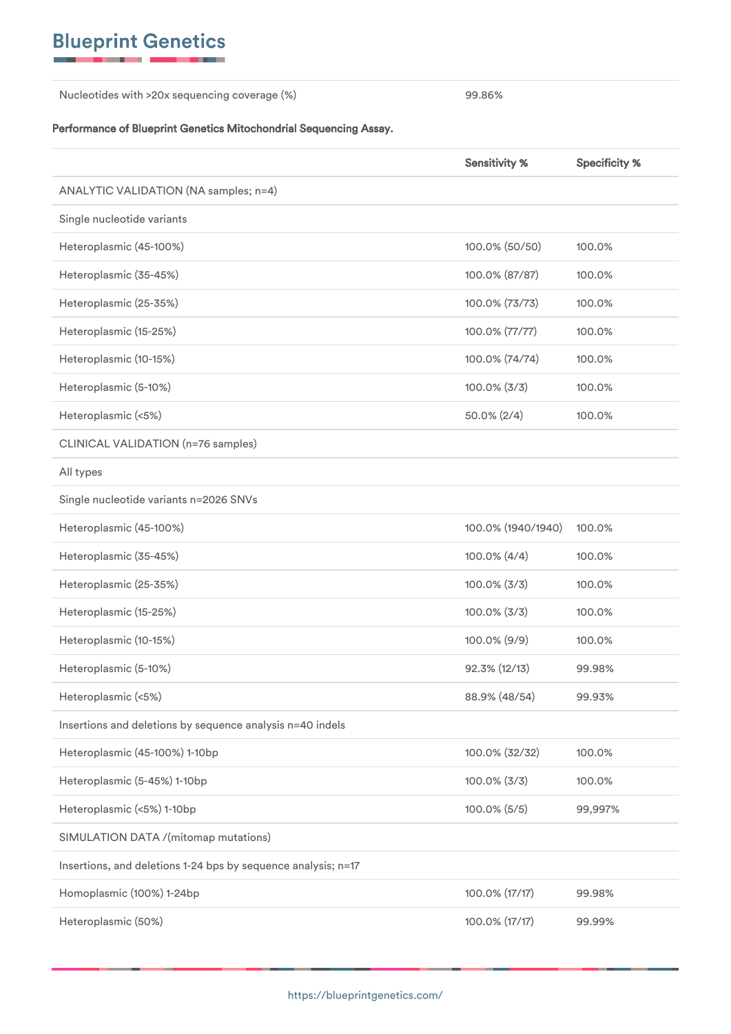Nucleotides with >20x sequencing coverage (%) 99.86%

#### Performance of Blueprint Genetics Mitochondrial Sequencing Assay.

|                                                               | <b>Sensitivity %</b> | <b>Specificity %</b> |
|---------------------------------------------------------------|----------------------|----------------------|
| ANALYTIC VALIDATION (NA samples; n=4)                         |                      |                      |
| Single nucleotide variants                                    |                      |                      |
| Heteroplasmic (45-100%)                                       | 100.0% (50/50)       | 100.0%               |
| Heteroplasmic (35-45%)                                        | 100.0% (87/87)       | 100.0%               |
| Heteroplasmic (25-35%)                                        | 100.0% (73/73)       | 100.0%               |
| Heteroplasmic (15-25%)                                        | 100.0% (77/77)       | 100.0%               |
| Heteroplasmic (10-15%)                                        | 100.0% (74/74)       | 100.0%               |
| Heteroplasmic (5-10%)                                         | $100.0\%$ (3/3)      | 100.0%               |
| Heteroplasmic (<5%)                                           | $50.0\% (2/4)$       | 100.0%               |
| CLINICAL VALIDATION (n=76 samples)                            |                      |                      |
| All types                                                     |                      |                      |
| Single nucleotide variants n=2026 SNVs                        |                      |                      |
| Heteroplasmic (45-100%)                                       | 100.0% (1940/1940)   | 100.0%               |
| Heteroplasmic (35-45%)                                        | 100.0% (4/4)         | 100.0%               |
| Heteroplasmic (25-35%)                                        | $100.0\%$ (3/3)      | 100.0%               |
| Heteroplasmic (15-25%)                                        | $100.0\%$ (3/3)      | 100.0%               |
| Heteroplasmic (10-15%)                                        | 100.0% (9/9)         | 100.0%               |
| Heteroplasmic (5-10%)                                         | 92.3% (12/13)        | 99.98%               |
| Heteroplasmic (<5%)                                           | 88.9% (48/54)        | 99.93%               |
| Insertions and deletions by sequence analysis n=40 indels     |                      |                      |
| Heteroplasmic (45-100%) 1-10bp                                | 100.0% (32/32)       | 100.0%               |
| Heteroplasmic (5-45%) 1-10bp                                  | $100.0\%$ (3/3)      | 100.0%               |
| Heteroplasmic (<5%) 1-10bp                                    | $100.0\%$ (5/5)      | 99,997%              |
| SIMULATION DATA /(mitomap mutations)                          |                      |                      |
| Insertions, and deletions 1-24 bps by sequence analysis; n=17 |                      |                      |
| Homoplasmic (100%) 1-24bp                                     | 100.0% (17/17)       | 99.98%               |
| Heteroplasmic (50%)                                           | 100.0% (17/17)       | 99.99%               |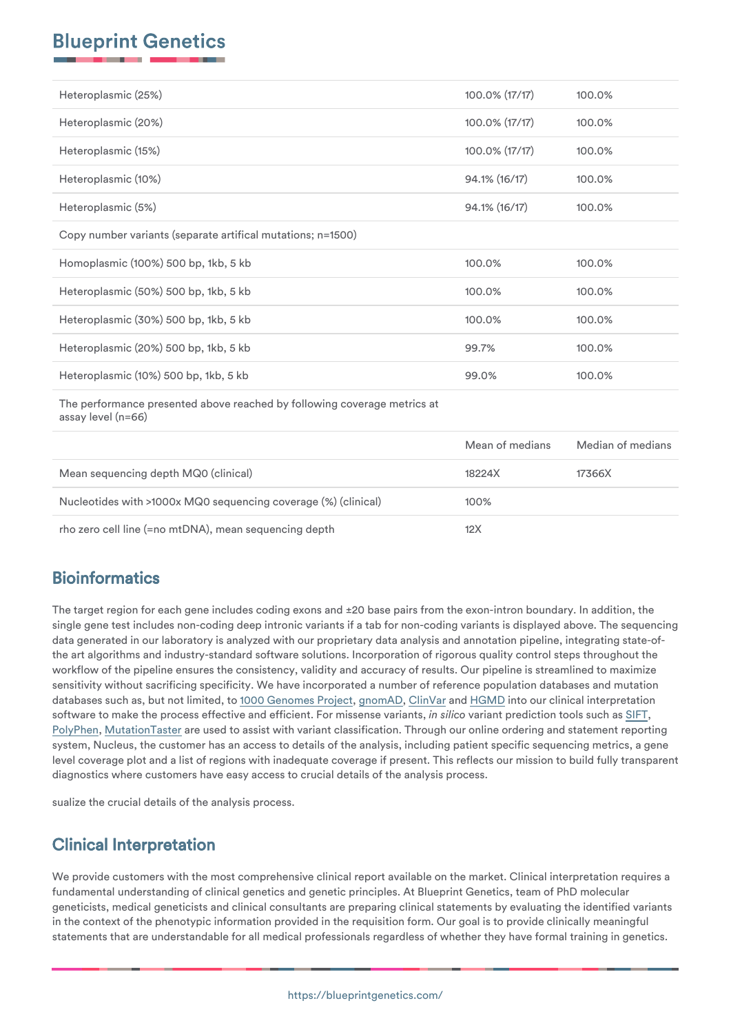| Heteroplasmic (25%)                                                                            | 100.0% (17/17)  | 100.0%            |
|------------------------------------------------------------------------------------------------|-----------------|-------------------|
| Heteroplasmic (20%)                                                                            | 100.0% (17/17)  | 100.0%            |
| Heteroplasmic (15%)                                                                            | 100.0% (17/17)  | 100.0%            |
| Heteroplasmic (10%)                                                                            | 94.1% (16/17)   | 100.0%            |
| Heteroplasmic (5%)                                                                             | 94.1% (16/17)   | 100.0%            |
| Copy number variants (separate artifical mutations; n=1500)                                    |                 |                   |
| Homoplasmic (100%) 500 bp, 1kb, 5 kb                                                           | 100.0%          | 100.0%            |
| Heteroplasmic (50%) 500 bp, 1kb, 5 kb                                                          | 100.0%          | 100.0%            |
| Heteroplasmic (30%) 500 bp, 1kb, 5 kb                                                          | 100.0%          | 100.0%            |
| Heteroplasmic (20%) 500 bp, 1kb, 5 kb                                                          | 99.7%           | 100.0%            |
| Heteroplasmic (10%) 500 bp, 1kb, 5 kb                                                          | 99.0%           | 100.0%            |
| The performance presented above reached by following coverage metrics at<br>assay level (n=66) |                 |                   |
|                                                                                                | Mean of medians | Median of medians |
| Mean sequencing depth MQ0 (clinical)                                                           | 18224X          | 17366X            |
| Nucleotides with >1000x MQ0 sequencing coverage (%) (clinical)                                 | 100%            |                   |
| rho zero cell line (=no mtDNA), mean sequencing depth                                          | 12X             |                   |

## **Bioinformatics**

The target region for each gene includes coding exons and ±20 base pairs from the exon-intron boundary. In addition, the single gene test includes non-coding deep intronic variants if a tab for non-coding variants is displayed above. The sequencing data generated in our laboratory is analyzed with our proprietary data analysis and annotation pipeline, integrating state-ofthe art algorithms and industry-standard software solutions. Incorporation of rigorous quality control steps throughout the workflow of the pipeline ensures the consistency, validity and accuracy of results. Our pipeline is streamlined to maximize sensitivity without sacrificing specificity. We have incorporated a number of reference population databases and mutation databases such as, but not limited, to [1000 Genomes Project](https://www.internationalgenome.org/home), [gnomAD](https://gnomad.broadinstitute.org), [ClinVar](https://www.ncbi.nlm.nih.gov/clinvar/) and [HGMD](https://blueprintgenetics.com/www.hgmd.cf.ac.uk/ac/index.php) into our clinical interpretation software to make the process effective and efficient. For missense variants, *in silico* variant prediction tools such as [SIFT,](https://sift.jcvi.org) [PolyPhen](https://genetics.bwh.harvard.edu/pph2/), [MutationTaster](https://www.mutationtaster.org) are used to assist with variant classification. Through our online ordering and statement reporting system, Nucleus, the customer has an access to details of the analysis, including patient specific sequencing metrics, a gene level coverage plot and a list of regions with inadequate coverage if present. This reflects our mission to build fully transparent diagnostics where customers have easy access to crucial details of the analysis process.

sualize the crucial details of the analysis process.

## Clinical Interpretation

We provide customers with the most comprehensive clinical report available on the market. Clinical interpretation requires a fundamental understanding of clinical genetics and genetic principles. At Blueprint Genetics, team of PhD molecular geneticists, medical geneticists and clinical consultants are preparing clinical statements by evaluating the identified variants in the context of the phenotypic information provided in the requisition form. Our goal is to provide clinically meaningful statements that are understandable for all medical professionals regardless of whether they have formal training in genetics.